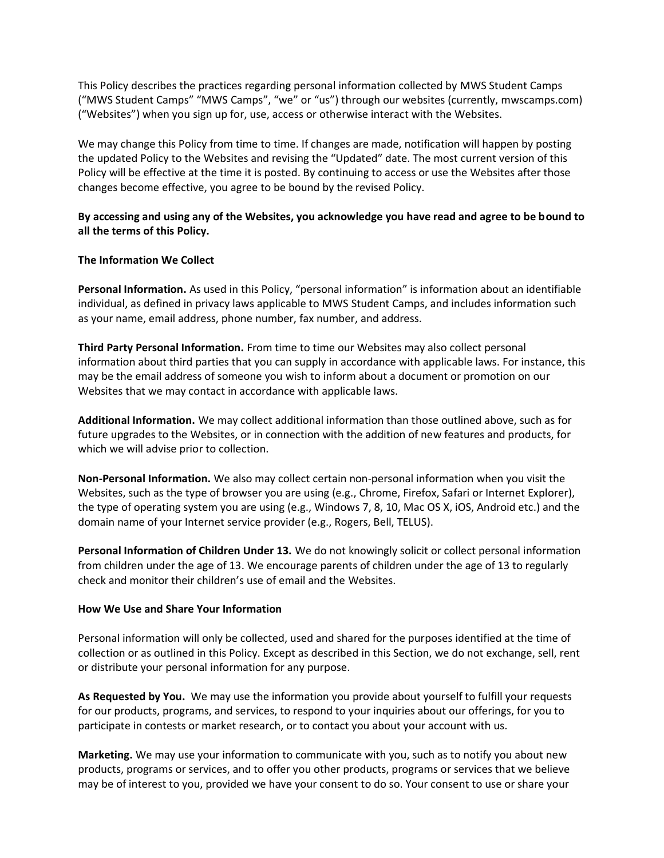This Policy describes the practices regarding personal information collected by MWS Student Camps ("MWS Student Camps" "MWS Camps", "we" or "us") through our websites (currently, mwscamps.com) ("Websites") when you sign up for, use, access or otherwise interact with the Websites.

We may change this Policy from time to time. If changes are made, notification will happen by posting the updated Policy to the Websites and revising the "Updated" date. The most current version of this Policy will be effective at the time it is posted. By continuing to access or use the Websites after those changes become effective, you agree to be bound by the revised Policy.

# **By accessing and using any of the Websites, you acknowledge you have read and agree to be bound to all the terms of this Policy.**

## **The Information We Collect**

**Personal Information.** As used in this Policy, "personal information" is information about an identifiable individual, as defined in privacy laws applicable to MWS Student Camps, and includes information such as your name, email address, phone number, fax number, and address.

**Third Party Personal Information.** From time to time our Websites may also collect personal information about third parties that you can supply in accordance with applicable laws. For instance, this may be the email address of someone you wish to inform about a document or promotion on our Websites that we may contact in accordance with applicable laws.

**Additional Information.** We may collect additional information than those outlined above, such as for future upgrades to the Websites, or in connection with the addition of new features and products, for which we will advise prior to collection.

**Non-Personal Information.** We also may collect certain non-personal information when you visit the Websites, such as the type of browser you are using (e.g., Chrome, Firefox, Safari or Internet Explorer), the type of operating system you are using (e.g., Windows 7, 8, 10, Mac OS X, iOS, Android etc.) and the domain name of your Internet service provider (e.g., Rogers, Bell, TELUS).

**Personal Information of Children Under 13.** We do not knowingly solicit or collect personal information from children under the age of 13. We encourage parents of children under the age of 13 to regularly check and monitor their children's use of email and the Websites.

#### **How We Use and Share Your Information**

Personal information will only be collected, used and shared for the purposes identified at the time of collection or as outlined in this Policy. Except as described in this Section, we do not exchange, sell, rent or distribute your personal information for any purpose.

**As Requested by You.** We may use the information you provide about yourself to fulfill your requests for our products, programs, and services, to respond to your inquiries about our offerings, for you to participate in contests or market research, or to contact you about your account with us.

**Marketing.** We may use your information to communicate with you, such as to notify you about new products, programs or services, and to offer you other products, programs or services that we believe may be of interest to you, provided we have your consent to do so. Your consent to use or share your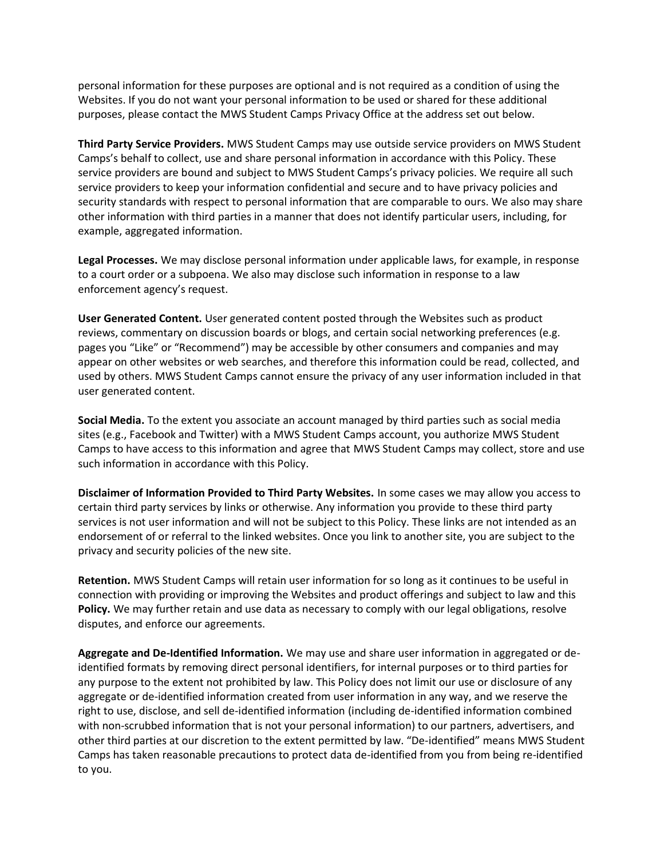personal information for these purposes are optional and is not required as a condition of using the Websites. If you do not want your personal information to be used or shared for these additional purposes, please contact the MWS Student Camps Privacy Office at the address set out below.

**Third Party Service Providers.** MWS Student Camps may use outside service providers on MWS Student Camps's behalf to collect, use and share personal information in accordance with this Policy. These service providers are bound and subject to MWS Student Camps's privacy policies. We require all such service providers to keep your information confidential and secure and to have privacy policies and security standards with respect to personal information that are comparable to ours. We also may share other information with third parties in a manner that does not identify particular users, including, for example, aggregated information.

**Legal Processes.** We may disclose personal information under applicable laws, for example, in response to a court order or a subpoena. We also may disclose such information in response to a law enforcement agency's request.

**User Generated Content.** User generated content posted through the Websites such as product reviews, commentary on discussion boards or blogs, and certain social networking preferences (e.g. pages you "Like" or "Recommend") may be accessible by other consumers and companies and may appear on other websites or web searches, and therefore this information could be read, collected, and used by others. MWS Student Camps cannot ensure the privacy of any user information included in that user generated content.

**Social Media.** To the extent you associate an account managed by third parties such as social media sites (e.g., Facebook and Twitter) with a MWS Student Camps account, you authorize MWS Student Camps to have access to this information and agree that MWS Student Camps may collect, store and use such information in accordance with this Policy.

**Disclaimer of Information Provided to Third Party Websites.** In some cases we may allow you access to certain third party services by links or otherwise. Any information you provide to these third party services is not user information and will not be subject to this Policy. These links are not intended as an endorsement of or referral to the linked websites. Once you link to another site, you are subject to the privacy and security policies of the new site.

**Retention.** MWS Student Camps will retain user information for so long as it continues to be useful in connection with providing or improving the Websites and product offerings and subject to law and this **Policy.** We may further retain and use data as necessary to comply with our legal obligations, resolve disputes, and enforce our agreements.

**Aggregate and De-Identified Information.** We may use and share user information in aggregated or deidentified formats by removing direct personal identifiers, for internal purposes or to third parties for any purpose to the extent not prohibited by law. This Policy does not limit our use or disclosure of any aggregate or de-identified information created from user information in any way, and we reserve the right to use, disclose, and sell de-identified information (including de-identified information combined with non-scrubbed information that is not your personal information) to our partners, advertisers, and other third parties at our discretion to the extent permitted by law. "De-identified" means MWS Student Camps has taken reasonable precautions to protect data de-identified from you from being re-identified to you.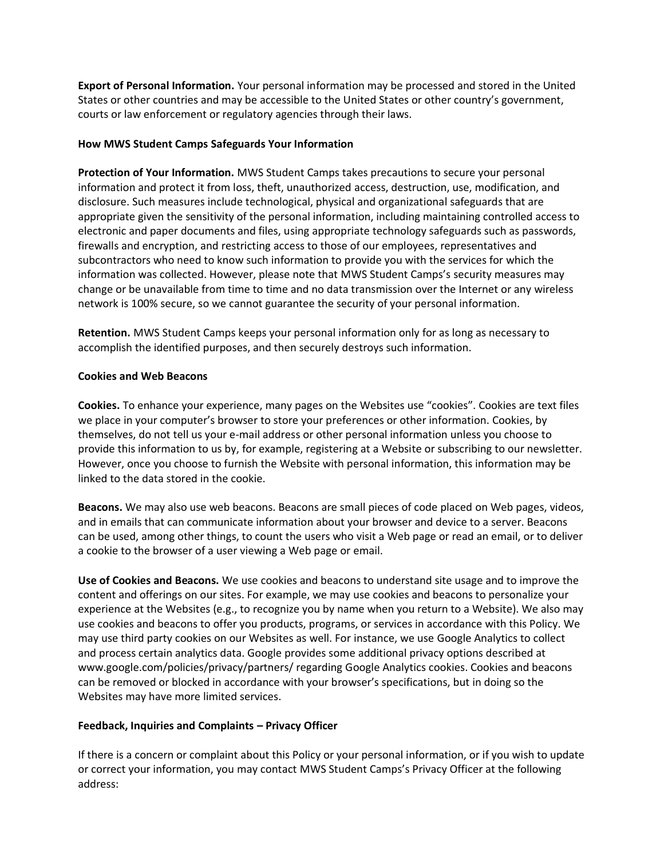**Export of Personal Information.** Your personal information may be processed and stored in the United States or other countries and may be accessible to the United States or other country's government, courts or law enforcement or regulatory agencies through their laws.

## **How MWS Student Camps Safeguards Your Information**

**Protection of Your Information.** MWS Student Camps takes precautions to secure your personal information and protect it from loss, theft, unauthorized access, destruction, use, modification, and disclosure. Such measures include technological, physical and organizational safeguards that are appropriate given the sensitivity of the personal information, including maintaining controlled access to electronic and paper documents and files, using appropriate technology safeguards such as passwords, firewalls and encryption, and restricting access to those of our employees, representatives and subcontractors who need to know such information to provide you with the services for which the information was collected. However, please note that MWS Student Camps's security measures may change or be unavailable from time to time and no data transmission over the Internet or any wireless network is 100% secure, so we cannot guarantee the security of your personal information.

**Retention.** MWS Student Camps keeps your personal information only for as long as necessary to accomplish the identified purposes, and then securely destroys such information.

#### **Cookies and Web Beacons**

**Cookies.** To enhance your experience, many pages on the Websites use "cookies". Cookies are text files we place in your computer's browser to store your preferences or other information. Cookies, by themselves, do not tell us your e-mail address or other personal information unless you choose to provide this information to us by, for example, registering at a Website or subscribing to our newsletter. However, once you choose to furnish the Website with personal information, this information may be linked to the data stored in the cookie.

**Beacons.** We may also use web beacons. Beacons are small pieces of code placed on Web pages, videos, and in emails that can communicate information about your browser and device to a server. Beacons can be used, among other things, to count the users who visit a Web page or read an email, or to deliver a cookie to the browser of a user viewing a Web page or email.

**Use of Cookies and Beacons.** We use cookies and beacons to understand site usage and to improve the content and offerings on our sites. For example, we may use cookies and beacons to personalize your experience at the Websites (e.g., to recognize you by name when you return to a Website). We also may use cookies and beacons to offer you products, programs, or services in accordance with this Policy. We may use third party cookies on our Websites as well. For instance, we use Google Analytics to collect and process certain analytics data. Google provides some additional privacy options described at www.google.com/policies/privacy/partners/ regarding Google Analytics cookies. Cookies and beacons can be removed or blocked in accordance with your browser's specifications, but in doing so the Websites may have more limited services.

## **Feedback, Inquiries and Complaints – Privacy Officer**

If there is a concern or complaint about this Policy or your personal information, or if you wish to update or correct your information, you may contact MWS Student Camps's Privacy Officer at the following address: